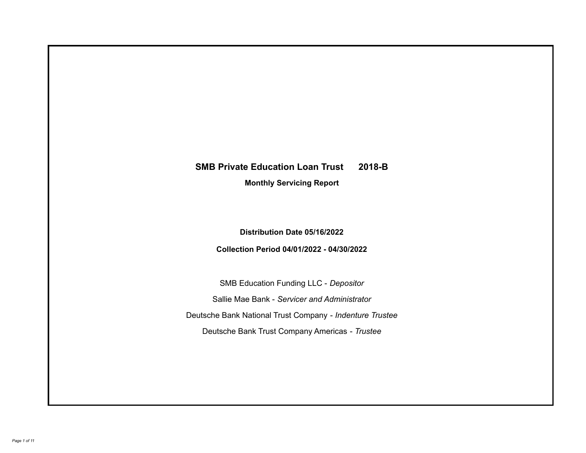# **SMB Private Education Loan Trust 2018-B**

**Monthly Servicing Report**

**Distribution Date 05/16/2022**

**Collection Period 04/01/2022 - 04/30/2022**

SMB Education Funding LLC - *Depositor* Sallie Mae Bank - *Servicer and Administrator* Deutsche Bank National Trust Company - *Indenture Trustee* Deutsche Bank Trust Company Americas - *Trustee*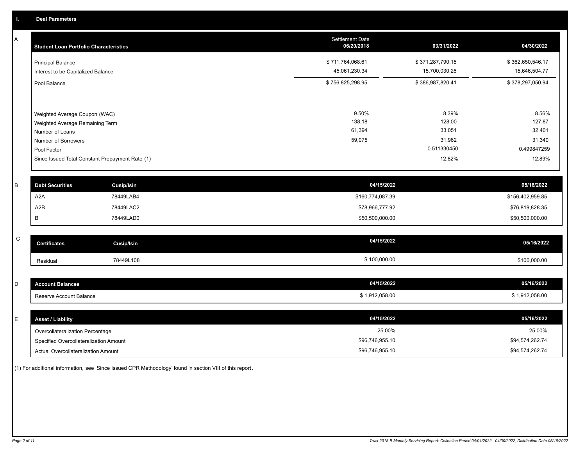A

| <b>Student Loan Portfolio Characteristics</b>   | <b>Settlement Date</b><br>06/20/2018 | 03/31/2022       | 04/30/2022       |
|-------------------------------------------------|--------------------------------------|------------------|------------------|
| <b>Principal Balance</b>                        | \$711,764,068.61                     | \$371,287,790.15 | \$362,650,546.17 |
| Interest to be Capitalized Balance              | 45,061,230.34                        | 15,700,030.26    | 15,646,504.77    |
| Pool Balance                                    | \$756,825,298.95                     | \$386,987,820.41 | \$378,297,050.94 |
|                                                 |                                      |                  |                  |
| Weighted Average Coupon (WAC)                   | 9.50%                                | 8.39%            | 8.56%            |
| Weighted Average Remaining Term                 | 138.18                               | 128.00           | 127.87           |
| Number of Loans                                 | 61,394                               | 33,051           | 32,401           |
| Number of Borrowers                             | 59,075                               | 31,962           | 31,340           |
| Pool Factor                                     |                                      | 0.511330450      | 0.499847259      |
| Since Issued Total Constant Prepayment Rate (1) |                                      | 12.82%           | 12.89%           |

| <b>Debt Securities</b> | Cusip/Isin | 04/15/2022       | 05/16/2022       |
|------------------------|------------|------------------|------------------|
| A <sub>2</sub> A       | 78449LAB4  | \$160,774,087.39 | \$156,402,959.85 |
| A <sub>2</sub> B       | 78449LAC2  | \$78,966,777.92  | \$76,819,828.35  |
|                        | 78449LAD0  | \$50,500,000.00  | \$50,500,000.00  |

| C | <b>Certificates</b> | Cusip/Isin | 04/15/2022   | 05/16/2022   |
|---|---------------------|------------|--------------|--------------|
|   | Residual            | 78449L108  | \$100,000.00 | \$100.000.00 |

| <b>Account Balances</b> | 04/15/2022     | 05/16/2022   |
|-------------------------|----------------|--------------|
| Reserve Account Balance | \$1,912,058.00 | 1.912.058.00 |

| <b>Asset / Liability</b>               | 04/15/2022      | 05/16/2022      |
|----------------------------------------|-----------------|-----------------|
| Overcollateralization Percentage       | 25.00%          | 25.00%          |
| Specified Overcollateralization Amount | \$96,746,955.10 | \$94,574,262.74 |
| Actual Overcollateralization Amount    | \$96,746,955.10 | \$94,574,262.74 |

(1) For additional information, see 'Since Issued CPR Methodology' found in section VIII of this report .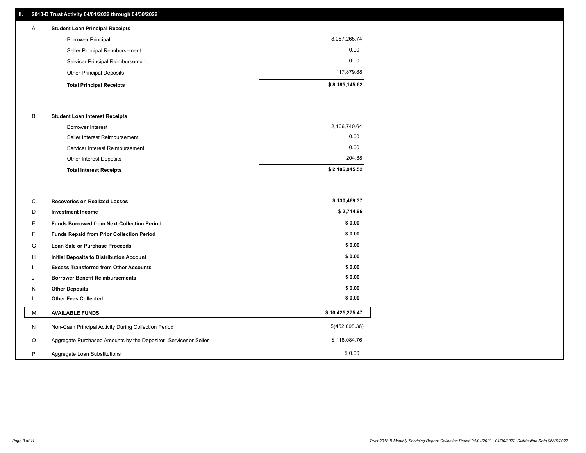## **II. 2018-B Trust Activity 04/01/2022 through 04/30/2022**

| $\mathsf{A}$ | <b>Student Loan Principal Receipts</b> |                |
|--------------|----------------------------------------|----------------|
|              | <b>Borrower Principal</b>              | 8,067,265.74   |
|              | Seller Principal Reimbursement         | 0.00           |
|              | Servicer Principal Reimbursement       | 0.00           |
|              | <b>Other Principal Deposits</b>        | 117,879.88     |
|              | <b>Total Principal Receipts</b>        | \$8,185,145.62 |

#### B **Student Loan Interest Receipts**

| <b>Total Interest Receipts</b>  | \$2,106,945.52 |
|---------------------------------|----------------|
| <b>Other Interest Deposits</b>  | 204.88         |
| Servicer Interest Reimbursement | 0.00           |
| Seller Interest Reimbursement   | 0.00           |
| <b>Borrower Interest</b>        | 2,106,740.64   |

| C       | <b>Recoveries on Realized Losses</b>                             | \$130,469.37    |
|---------|------------------------------------------------------------------|-----------------|
| D       | <b>Investment Income</b>                                         | \$2,714.96      |
| Е       | <b>Funds Borrowed from Next Collection Period</b>                | \$0.00          |
| F.      | Funds Repaid from Prior Collection Period                        | \$0.00          |
| G       | Loan Sale or Purchase Proceeds                                   | \$0.00          |
| Н       | Initial Deposits to Distribution Account                         | \$0.00          |
|         | <b>Excess Transferred from Other Accounts</b>                    | \$0.00          |
| J       | <b>Borrower Benefit Reimbursements</b>                           | \$0.00          |
| K       | <b>Other Deposits</b>                                            | \$0.00          |
|         | <b>Other Fees Collected</b>                                      | \$0.00          |
| M       | <b>AVAILABLE FUNDS</b>                                           | \$10,425,275.47 |
| N       | Non-Cash Principal Activity During Collection Period             | \$(452,098.36)  |
| $\circ$ | Aggregate Purchased Amounts by the Depositor, Servicer or Seller | \$118,084.76    |
| P       | Aggregate Loan Substitutions                                     | \$0.00          |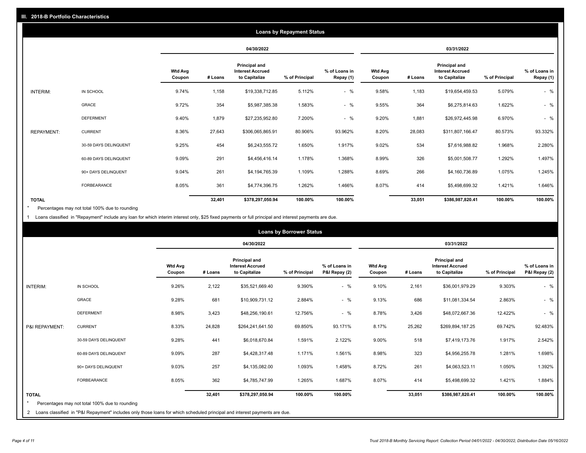|                   |                       |                          |         |                                                                  | <b>Loans by Repayment Status</b> |                            |                          |         |                                                           |                |                            |
|-------------------|-----------------------|--------------------------|---------|------------------------------------------------------------------|----------------------------------|----------------------------|--------------------------|---------|-----------------------------------------------------------|----------------|----------------------------|
|                   |                       |                          |         | 04/30/2022                                                       |                                  |                            |                          |         | 03/31/2022                                                |                |                            |
|                   |                       | <b>Wtd Avg</b><br>Coupon | # Loans | <b>Principal and</b><br><b>Interest Accrued</b><br>to Capitalize | % of Principal                   | % of Loans in<br>Repay (1) | <b>Wtd Avg</b><br>Coupon | # Loans | Principal and<br><b>Interest Accrued</b><br>to Capitalize | % of Principal | % of Loans in<br>Repay (1) |
| INTERIM:          | IN SCHOOL             | 9.74%                    | 1,158   | \$19,338,712.85                                                  | 5.112%                           | $-$ %                      | 9.58%                    | 1,183   | \$19,654,459.53                                           | 5.079%         | $-$ %                      |
|                   | GRACE                 | 9.72%                    | 354     | \$5,987,385.38                                                   | 1.583%                           | $-$ %                      | 9.55%                    | 364     | \$6,275,814.63                                            | 1.622%         | $-$ %                      |
|                   | <b>DEFERMENT</b>      | 9.40%                    | 1,879   | \$27,235,952.80                                                  | 7.200%                           | $-$ %                      | 9.20%                    | 1,881   | \$26,972,445.98                                           | 6.970%         | $-$ %                      |
| <b>REPAYMENT:</b> | <b>CURRENT</b>        | 8.36%                    | 27,643  | \$306,065,865.91                                                 | 80.906%                          | 93.962%                    | 8.20%                    | 28,083  | \$311,807,166.47                                          | 80.573%        | 93.332%                    |
|                   | 30-59 DAYS DELINQUENT | 9.25%                    | 454     | \$6,243,555.72                                                   | 1.650%                           | 1.917%                     | 9.02%                    | 534     | \$7,616,988.82                                            | 1.968%         | 2.280%                     |
|                   | 60-89 DAYS DELINQUENT | 9.09%                    | 291     | \$4,456,416.14                                                   | 1.178%                           | 1.368%                     | 8.99%                    | 326     | \$5,001,508.77                                            | 1.292%         | 1.497%                     |
|                   | 90+ DAYS DELINQUENT   | 9.04%                    | 261     | \$4,194,765.39                                                   | 1.109%                           | 1.288%                     | 8.69%                    | 266     | \$4,160,736.89                                            | 1.075%         | 1.245%                     |
|                   | <b>FORBEARANCE</b>    | 8.05%                    | 361     | \$4,774,396.75                                                   | 1.262%                           | 1.466%                     | 8.07%                    | 414     | \$5,498,699.32                                            | 1.421%         | 1.646%                     |
| <b>TOTAL</b>      |                       |                          | 32,401  | \$378,297,050.94                                                 | 100.00%                          | 100.00%                    |                          | 33,051  | \$386,987,820.41                                          | 100.00%        | 100.00%                    |

Percentages may not total 100% due to rounding \*

1 Loans classified in "Repayment" include any loan for which interim interest only, \$25 fixed payments or full principal and interest payments are due.

|                         |                                                                                                                              |                          |         |                                                                  | <b>Loans by Borrower Status</b> |                                |                          |         |                                                                  |                |                                |
|-------------------------|------------------------------------------------------------------------------------------------------------------------------|--------------------------|---------|------------------------------------------------------------------|---------------------------------|--------------------------------|--------------------------|---------|------------------------------------------------------------------|----------------|--------------------------------|
|                         |                                                                                                                              |                          |         | 04/30/2022                                                       |                                 |                                |                          |         | 03/31/2022                                                       |                |                                |
|                         |                                                                                                                              | <b>Wtd Avg</b><br>Coupon | # Loans | <b>Principal and</b><br><b>Interest Accrued</b><br>to Capitalize | % of Principal                  | % of Loans in<br>P&I Repay (2) | <b>Wtd Avg</b><br>Coupon | # Loans | <b>Principal and</b><br><b>Interest Accrued</b><br>to Capitalize | % of Principal | % of Loans in<br>P&I Repay (2) |
| <b>INTERIM:</b>         | IN SCHOOL                                                                                                                    | 9.26%                    | 2,122   | \$35,521,669.40                                                  | 9.390%                          | $-$ %                          | 9.10%                    | 2,161   | \$36,001,979.29                                                  | 9.303%         | $-$ %                          |
|                         | <b>GRACE</b>                                                                                                                 | 9.28%                    | 681     | \$10,909,731.12                                                  | 2.884%                          | $-$ %                          | 9.13%                    | 686     | \$11,081,334.54                                                  | 2.863%         | $-$ %                          |
|                         | <b>DEFERMENT</b>                                                                                                             | 8.98%                    | 3,423   | \$48,256,190.61                                                  | 12.756%                         | $-$ %                          | 8.78%                    | 3,426   | \$48,072,667.36                                                  | 12.422%        | $-$ %                          |
| P&I REPAYMENT:          | <b>CURRENT</b>                                                                                                               | 8.33%                    | 24,828  | \$264,241,641.50                                                 | 69.850%                         | 93.171%                        | 8.17%                    | 25,262  | \$269,894,187.25                                                 | 69.742%        | 92.483%                        |
|                         | 30-59 DAYS DELINQUENT                                                                                                        | 9.28%                    | 441     | \$6,018,670.84                                                   | 1.591%                          | 2.122%                         | 9.00%                    | 518     | \$7,419,173.76                                                   | 1.917%         | 2.542%                         |
|                         | 60-89 DAYS DELINQUENT                                                                                                        | 9.09%                    | 287     | \$4,428,317.48                                                   | 1.171%                          | 1.561%                         | 8.98%                    | 323     | \$4,956,255.78                                                   | 1.281%         | 1.698%                         |
|                         | 90+ DAYS DELINQUENT                                                                                                          | 9.03%                    | 257     | \$4,135,082.00                                                   | 1.093%                          | 1.458%                         | 8.72%                    | 261     | \$4,063,523.11                                                   | 1.050%         | 1.392%                         |
|                         | FORBEARANCE                                                                                                                  | 8.05%                    | 362     | \$4,785,747.99                                                   | 1.265%                          | 1.687%                         | 8.07%                    | 414     | \$5,498,699.32                                                   | 1.421%         | 1.884%                         |
| <b>TOTAL</b><br>$\star$ | Percentages may not total 100% due to rounding                                                                               |                          | 32,401  | \$378,297,050.94                                                 | 100.00%                         | 100.00%                        |                          | 33,051  | \$386,987,820.41                                                 | 100.00%        | 100.00%                        |
|                         | 2 Loans classified in "P&I Repayment" includes only those loans for which scheduled principal and interest payments are due. |                          |         |                                                                  |                                 |                                |                          |         |                                                                  |                |                                |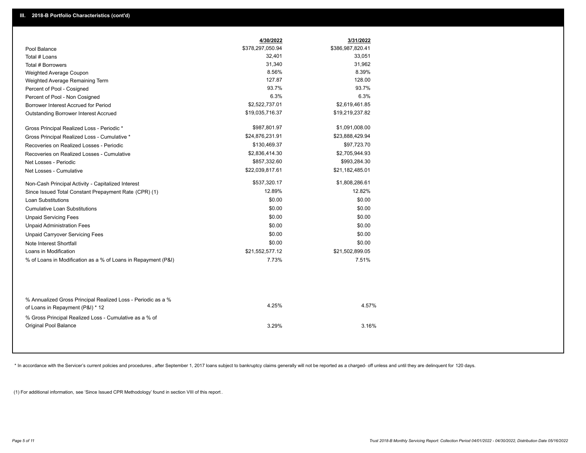|                                                                                        | 4/30/2022        | 3/31/2022        |
|----------------------------------------------------------------------------------------|------------------|------------------|
| Pool Balance                                                                           | \$378,297,050.94 | \$386,987,820.41 |
| Total # Loans                                                                          | 32,401           | 33,051           |
| Total # Borrowers                                                                      | 31,340           | 31,962           |
| Weighted Average Coupon                                                                | 8.56%            | 8.39%            |
| Weighted Average Remaining Term                                                        | 127.87           | 128.00           |
| Percent of Pool - Cosigned                                                             | 93.7%            | 93.7%            |
| Percent of Pool - Non Cosigned                                                         | 6.3%             | 6.3%             |
| Borrower Interest Accrued for Period                                                   | \$2,522,737.01   | \$2,619,461.85   |
| Outstanding Borrower Interest Accrued                                                  | \$19,035,716.37  | \$19,219,237.82  |
| Gross Principal Realized Loss - Periodic *                                             | \$987,801.97     | \$1,091,008.00   |
| Gross Principal Realized Loss - Cumulative *                                           | \$24,876,231.91  | \$23,888,429.94  |
| Recoveries on Realized Losses - Periodic                                               | \$130,469.37     | \$97,723.70      |
| Recoveries on Realized Losses - Cumulative                                             | \$2,836,414.30   | \$2,705,944.93   |
| Net Losses - Periodic                                                                  | \$857,332.60     | \$993,284.30     |
| Net Losses - Cumulative                                                                | \$22,039,817.61  | \$21,182,485.01  |
| Non-Cash Principal Activity - Capitalized Interest                                     | \$537,320.17     | \$1,808,286.61   |
| Since Issued Total Constant Prepayment Rate (CPR) (1)                                  | 12.89%           | 12.82%           |
| <b>Loan Substitutions</b>                                                              | \$0.00           | \$0.00           |
| <b>Cumulative Loan Substitutions</b>                                                   | \$0.00           | \$0.00           |
| <b>Unpaid Servicing Fees</b>                                                           | \$0.00           | \$0.00           |
| <b>Unpaid Administration Fees</b>                                                      | \$0.00           | \$0.00           |
| <b>Unpaid Carryover Servicing Fees</b>                                                 | \$0.00           | \$0.00           |
| Note Interest Shortfall                                                                | \$0.00           | \$0.00           |
| Loans in Modification                                                                  | \$21,552,577.12  | \$21,502,899.05  |
| % of Loans in Modification as a % of Loans in Repayment (P&I)                          | 7.73%            | 7.51%            |
| % Annualized Gross Principal Realized Loss - Periodic as a %                           |                  |                  |
| of Loans in Repayment (P&I) * 12                                                       | 4.25%            | 4.57%            |
| % Gross Principal Realized Loss - Cumulative as a % of<br><b>Original Pool Balance</b> | 3.29%            | 3.16%            |

\* In accordance with the Servicer's current policies and procedures, after September 1, 2017 loans subject to bankruptcy claims generally will not be reported as a charged- off unless and until they are delinquent for 120

(1) For additional information, see 'Since Issued CPR Methodology' found in section VIII of this report .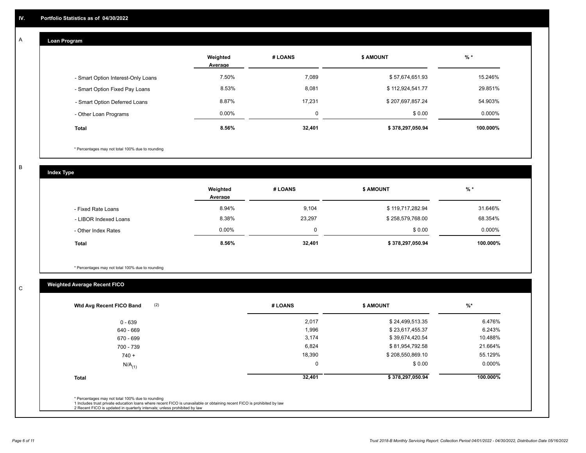# **Loan Program**

A

|                                    | Weighted<br>Average | # LOANS | <b>\$ AMOUNT</b> | $%$ *    |
|------------------------------------|---------------------|---------|------------------|----------|
| - Smart Option Interest-Only Loans | 7.50%               | 7,089   | \$57,674,651.93  | 15.246%  |
| - Smart Option Fixed Pay Loans     | 8.53%               | 8,081   | \$112,924,541.77 | 29.851%  |
| - Smart Option Deferred Loans      | 8.87%               | 17.231  | \$207,697,857.24 | 54.903%  |
| - Other Loan Programs              | $0.00\%$            | υ       | \$0.00           | 0.000%   |
| <b>Total</b>                       | 8.56%               | 32,401  | \$378,297,050.94 | 100.000% |

\* Percentages may not total 100% due to rounding

B

C

**Index Type**

|                       | Weighted<br>Average | # LOANS  | <b>\$ AMOUNT</b> | $%$ *    |
|-----------------------|---------------------|----------|------------------|----------|
| - Fixed Rate Loans    | 8.94%               | 9,104    | \$119,717,282.94 | 31.646%  |
| - LIBOR Indexed Loans | 8.38%               | 23,297   | \$258,579,768.00 | 68.354%  |
| - Other Index Rates   | $0.00\%$            | $\Omega$ | \$0.00           | 0.000%   |
| <b>Total</b>          | 8.56%               | 32,401   | \$378,297,050.94 | 100.000% |

\* Percentages may not total 100% due to rounding

# **Weighted Average Recent FICO**

| (2)<br>Wtd Avg Recent FICO Band | # LOANS | <b>\$ AMOUNT</b> | $\frac{9}{6}$ * |
|---------------------------------|---------|------------------|-----------------|
| 0 - 639                         | 2,017   | \$24,499,513.35  | 6.476%          |
| 640 - 669                       | 1,996   | \$23,617,455.37  | 6.243%          |
| 670 - 699                       | 3,174   | \$39,674,420.54  | 10.488%         |
| 700 - 739                       | 6,824   | \$81,954,792.58  | 21.664%         |
| $740 +$                         | 18,390  | \$208,550,869.10 | 55.129%         |
| $N/A$ <sub>(1)</sub>            | 0       | \$0.00           | 0.000%          |
| <b>Total</b>                    | 32,401  | \$378,297,050.94 | 100.000%        |
|                                 |         |                  |                 |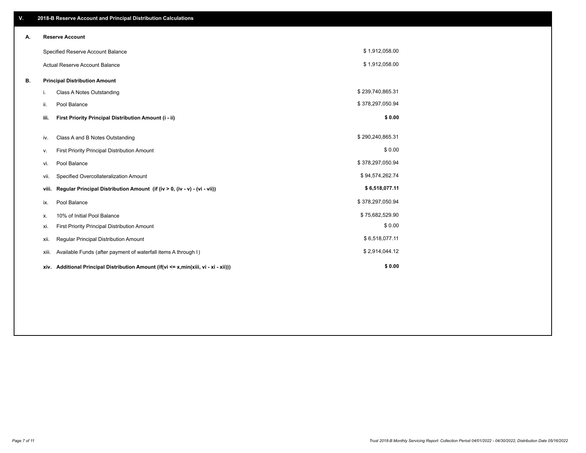| V. |                                      | 2018-B Reserve Account and Principal Distribution Calculations                  |                  |  |
|----|--------------------------------------|---------------------------------------------------------------------------------|------------------|--|
| Α. |                                      | <b>Reserve Account</b>                                                          |                  |  |
|    |                                      | Specified Reserve Account Balance                                               | \$1,912,058.00   |  |
|    |                                      | <b>Actual Reserve Account Balance</b>                                           | \$1,912,058.00   |  |
| В. | <b>Principal Distribution Amount</b> |                                                                                 |                  |  |
|    | i.                                   | <b>Class A Notes Outstanding</b>                                                | \$239,740,865.31 |  |
|    | ii.                                  | Pool Balance                                                                    | \$378,297,050.94 |  |
|    | iii.                                 | First Priority Principal Distribution Amount (i - ii)                           | \$0.00           |  |
|    | iv.                                  | Class A and B Notes Outstanding                                                 | \$290,240,865.31 |  |
|    | ν.                                   | First Priority Principal Distribution Amount                                    | \$0.00           |  |
|    | vi.                                  | Pool Balance                                                                    | \$378,297,050.94 |  |
|    | vii.                                 | Specified Overcollateralization Amount                                          | \$94,574,262.74  |  |
|    | viii.                                | Regular Principal Distribution Amount (if (iv > 0, (iv - v) - (vi - vii))       | \$6,518,077.11   |  |
|    | ix.                                  | Pool Balance                                                                    | \$378,297,050.94 |  |
|    | х.                                   | 10% of Initial Pool Balance                                                     | \$75,682,529.90  |  |
|    | xi.                                  | First Priority Principal Distribution Amount                                    | \$0.00           |  |
|    | xii.                                 | Regular Principal Distribution Amount                                           | \$6,518,077.11   |  |
|    | xiii.                                | Available Funds (after payment of waterfall items A through I)                  | \$2,914,044.12   |  |
|    | xiv.                                 | Additional Principal Distribution Amount (if(vi <= x,min(xiii, vi - xi - xii))) | \$0.00           |  |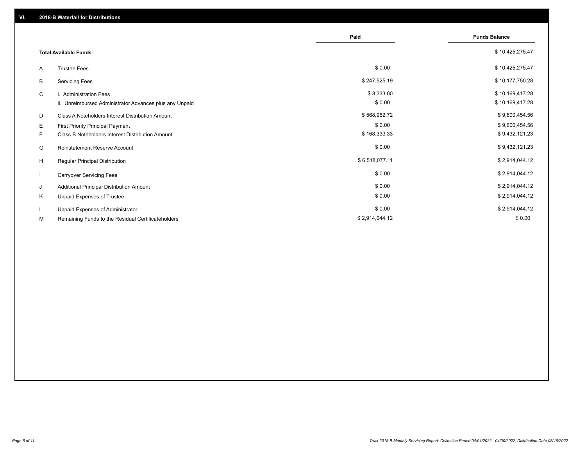|                              |                                                         | Paid           | <b>Funds Balance</b> |
|------------------------------|---------------------------------------------------------|----------------|----------------------|
| <b>Total Available Funds</b> |                                                         |                | \$10,425,275.47      |
| A                            | <b>Trustee Fees</b>                                     | \$0.00         | \$10,425,275.47      |
| В                            | <b>Servicing Fees</b>                                   | \$247,525.19   | \$10,177,750.28      |
| C                            | i. Administration Fees                                  | \$8,333.00     | \$10,169,417.28      |
|                              | ii. Unreimbursed Administrator Advances plus any Unpaid | \$0.00         | \$10,169,417.28      |
| D                            | Class A Noteholders Interest Distribution Amount        | \$568,962.72   | \$9,600,454.56       |
| Е                            | First Priority Principal Payment                        | \$0.00         | \$9,600,454.56       |
| F.                           | Class B Noteholders Interest Distribution Amount        | \$168,333.33   | \$9,432,121.23       |
| G                            | Reinstatement Reserve Account                           | \$0.00         | \$9,432,121.23       |
| H                            | <b>Regular Principal Distribution</b>                   | \$6,518,077.11 | \$2,914,044.12       |
|                              | <b>Carryover Servicing Fees</b>                         | \$0.00         | \$2,914,044.12       |
| J                            | Additional Principal Distribution Amount                | \$0.00         | \$2,914,044.12       |
| Κ                            | Unpaid Expenses of Trustee                              | \$0.00         | \$2,914,044.12       |
| L.                           | Unpaid Expenses of Administrator                        | \$0.00         | \$2,914,044.12       |
| М                            | Remaining Funds to the Residual Certificateholders      | \$2,914,044.12 | \$0.00               |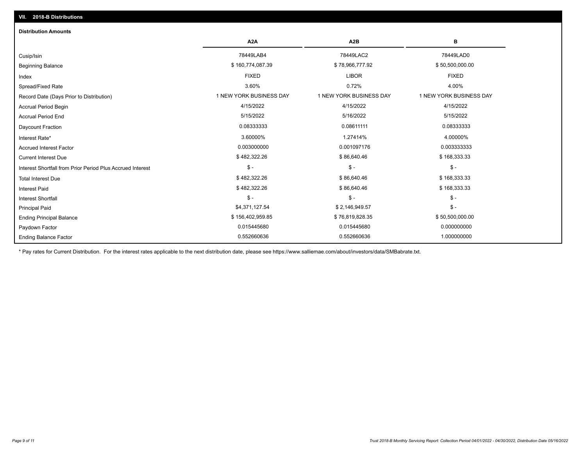| <b>Distribution Amounts</b>                                |                         |                         |                         |
|------------------------------------------------------------|-------------------------|-------------------------|-------------------------|
|                                                            | A <sub>2</sub> A        | A <sub>2</sub> B        | в                       |
| Cusip/Isin                                                 | 78449LAB4               | 78449LAC2               | 78449LAD0               |
| <b>Beginning Balance</b>                                   | \$160,774,087.39        | \$78,966,777.92         | \$50,500,000.00         |
| Index                                                      | <b>FIXED</b>            | <b>LIBOR</b>            | <b>FIXED</b>            |
| Spread/Fixed Rate                                          | 3.60%                   | 0.72%                   | 4.00%                   |
| Record Date (Days Prior to Distribution)                   | 1 NEW YORK BUSINESS DAY | 1 NEW YORK BUSINESS DAY | 1 NEW YORK BUSINESS DAY |
| <b>Accrual Period Begin</b>                                | 4/15/2022               | 4/15/2022               | 4/15/2022               |
| <b>Accrual Period End</b>                                  | 5/15/2022               | 5/16/2022               | 5/15/2022               |
| Daycount Fraction                                          | 0.08333333              | 0.08611111              | 0.08333333              |
| Interest Rate*                                             | 3.60000%                | 1.27414%                | 4.00000%                |
| <b>Accrued Interest Factor</b>                             | 0.003000000             | 0.001097176             | 0.003333333             |
| <b>Current Interest Due</b>                                | \$482,322.26            | \$86,640.46             | \$168,333.33            |
| Interest Shortfall from Prior Period Plus Accrued Interest | $\mathsf{\$}$ -         | $\mathsf{\$}$ -         | $$ -$                   |
| <b>Total Interest Due</b>                                  | \$482,322.26            | \$86,640.46             | \$168,333.33            |
| <b>Interest Paid</b>                                       | \$482,322.26            | \$86,640.46             | \$168,333.33            |
| <b>Interest Shortfall</b>                                  | $\mathsf{\$}$ -         | $\mathcal{S}$ -         | $$ -$                   |
| <b>Principal Paid</b>                                      | \$4,371,127.54          | \$2,146,949.57          | $$ -$                   |
| <b>Ending Principal Balance</b>                            | \$156,402,959.85        | \$76,819,828.35         | \$50,500,000.00         |
| Paydown Factor                                             | 0.015445680             | 0.015445680             | 0.000000000             |
| <b>Ending Balance Factor</b>                               | 0.552660636             | 0.552660636             | 1.000000000             |

\* Pay rates for Current Distribution. For the interest rates applicable to the next distribution date, please see https://www.salliemae.com/about/investors/data/SMBabrate.txt.

**VII. 2018-B Distributions**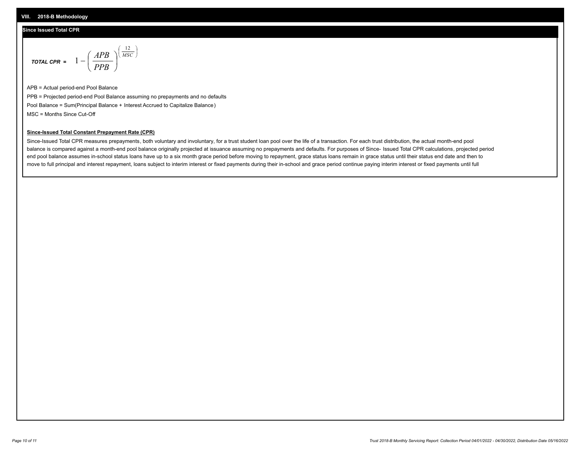## **Since Issued Total CPR**

$$
\text{total cPR} = 1 - \left(\frac{APB}{PPB}\right)^{\left(\frac{12}{MSC}\right)}
$$

APB = Actual period-end Pool Balance PPB = Projected period-end Pool Balance assuming no prepayments and no defaults Pool Balance = Sum(Principal Balance + Interest Accrued to Capitalize Balance) MSC = Months Since Cut-Off

I J Ι

### **Since-Issued Total Constant Prepayment Rate (CPR)**

Since-Issued Total CPR measures prepayments, both voluntary and involuntary, for a trust student loan pool over the life of a transaction. For each trust distribution, the actual month-end pool balance is compared against a month-end pool balance originally projected at issuance assuming no prepayments and defaults. For purposes of Since- Issued Total CPR calculations, projected period end pool balance assumes in-school status loans have up to a six month grace period before moving to repayment, grace status loans remain in grace status until their status end date and then to move to full principal and interest repayment, loans subject to interim interest or fixed payments during their in-school and grace period continue paying interim interest or fixed payments until full